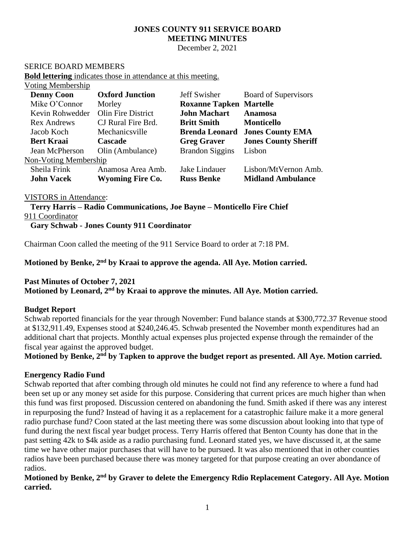# **JONES COUNTY 911 SERVICE BOARD MEETING MINUTES**

December 2, 2021

#### SERICE BOARD MEMBERS

**Bold lettering** indicates those in attendance at this meeting.

### Voting Membership

| <b>Denny Coon</b>            | <b>Oxford Junction</b>  | Jeff Swisher                   | <b>Board of Supervisors</b> |
|------------------------------|-------------------------|--------------------------------|-----------------------------|
| Mike O'Connor                | Morley                  | <b>Roxanne Tapken Martelle</b> |                             |
| Kevin Rohwedder              | Olin Fire District      | <b>John Machart</b>            | <b>Anamosa</b>              |
| <b>Rex Andrews</b>           | CJ Rural Fire Brd.      | <b>Britt Smith</b>             | <b>Monticello</b>           |
| Jacob Koch                   | Mechanicsville          | <b>Brenda Leonard</b>          | <b>Jones County EMA</b>     |
| <b>Bert Kraai</b>            | <b>Cascade</b>          | <b>Greg Graver</b>             | <b>Jones County Sheriff</b> |
| Jean McPherson               | Olin (Ambulance)        | <b>Brandon Siggins</b>         | Lisbon                      |
| <b>Non-Voting Membership</b> |                         |                                |                             |
| Sheila Frink                 | Anamosa Area Amb.       | Jake Lindauer                  | Lisbon/MtVernon Amb.        |
| <b>John Vacek</b>            | <b>Wyoming Fire Co.</b> | <b>Russ Benke</b>              | <b>Midland Ambulance</b>    |

#### VISTORS in Attendance:

**Terry Harris – Radio Communications, Joe Bayne – Monticello Fire Chief** 911 Coordinator **Gary Schwab - Jones County 911 Coordinator**

Chairman Coon called the meeting of the 911 Service Board to order at 7:18 PM.

**Motioned by Benke, 2 nd by Kraai to approve the agenda. All Aye. Motion carried.**

# **Past Minutes of October 7, 2021**

**Motioned by Leonard, 2 nd by Kraai to approve the minutes. All Aye. Motion carried.**

#### **Budget Report**

Schwab reported financials for the year through November: Fund balance stands at \$300,772.37 Revenue stood at \$132,911.49, Expenses stood at \$240,246.45. Schwab presented the November month expenditures had an additional chart that projects. Monthly actual expenses plus projected expense through the remainder of the fiscal year against the approved budget.

**Motioned by Benke, 2nd by Tapken to approve the budget report as presented. All Aye. Motion carried.**

#### **Energency Radio Fund**

Schwab reported that after combing through old minutes he could not find any reference to where a fund had been set up or any money set aside for this purpose. Considering that current prices are much higher than when this fund was first proposed. Discussion centered on abandoning the fund. Smith asked if there was any interest in repurposing the fund? Instead of having it as a replacement for a catastrophic failure make it a more general radio purchase fund? Coon stated at the last meeting there was some discussion about looking into that type of fund during the next fiscal year budget process. Terry Harris offered that Benton County has done that in the past setting 42k to \$4k aside as a radio purchasing fund. Leonard stated yes, we have discussed it, at the same time we have other major purchases that will have to be pursued. It was also mentioned that in other counties radios have been purchased because there was money targeted for that purpose creating an over abondance of radios.

**Motioned by Benke, 2nd by Graver to delete the Emergency Rdio Replacement Category. All Aye. Motion carried.**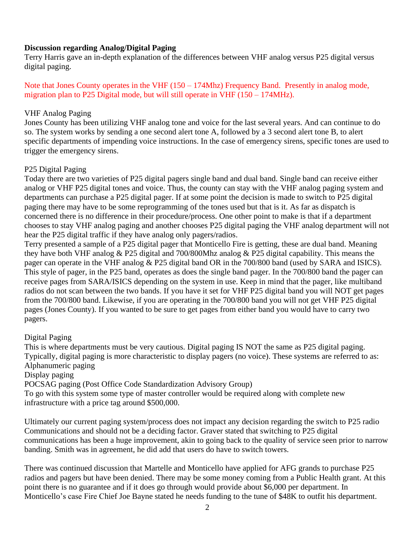### **Discussion regarding Analog/Digital Paging**

Terry Harris gave an in-depth explanation of the differences between VHF analog versus P25 digital versus digital paging.

Note that Jones County operates in the VHF (150 – 174Mhz) Frequency Band. Presently in analog mode, migration plan to P25 Digital mode, but will still operate in VHF  $(150 - 174)$ MHz).

#### VHF Analog Paging

Jones County has been utilizing VHF analog tone and voice for the last several years. And can continue to do so. The system works by sending a one second alert tone A, followed by a 3 second alert tone B, to alert specific departments of impending voice instructions. In the case of emergency sirens, specific tones are used to trigger the emergency sirens.

### P25 Digital Paging

Today there are two varieties of P25 digital pagers single band and dual band. Single band can receive either analog or VHF P25 digital tones and voice. Thus, the county can stay with the VHF analog paging system and departments can purchase a P25 digital pager. If at some point the decision is made to switch to P25 digital paging there may have to be some reprogramming of the tones used but that is it. As far as dispatch is concerned there is no difference in their procedure/process. One other point to make is that if a department chooses to stay VHF analog paging and another chooses P25 digital paging the VHF analog department will not hear the P25 digital traffic if they have analog only pagers/radios.

Terry presented a sample of a P25 digital pager that Monticello Fire is getting, these are dual band. Meaning they have both VHF analog & P25 digital and 700/800Mhz analog & P25 digital capability. This means the pager can operate in the VHF analog & P25 digital band OR in the 700/800 band (used by SARA and ISICS). This style of pager, in the P25 band, operates as does the single band pager. In the 700/800 band the pager can receive pages from SARA/ISICS depending on the system in use. Keep in mind that the pager, like multiband radios do not scan between the two bands. If you have it set for VHF P25 digital band you will NOT get pages from the 700/800 band. Likewise, if you are operating in the 700/800 band you will not get VHF P25 digital pages (Jones County). If you wanted to be sure to get pages from either band you would have to carry two pagers.

### Digital Paging

This is where departments must be very cautious. Digital paging IS NOT the same as P25 digital paging. Typically, digital paging is more characteristic to display pagers (no voice). These systems are referred to as: Alphanumeric paging

#### Display paging

POCSAG paging (Post Office Code Standardization Advisory Group)

To go with this system some type of master controller would be required along with complete new infrastructure with a price tag around \$500,000.

Ultimately our current paging system/process does not impact any decision regarding the switch to P25 radio Communications and should not be a deciding factor. Graver stated that switching to P25 digital communications has been a huge improvement, akin to going back to the quality of service seen prior to narrow banding. Smith was in agreement, he did add that users do have to switch towers.

There was continued discussion that Martelle and Monticello have applied for AFG grands to purchase P25 radios and pagers but have been denied. There may be some money coming from a Public Health grant. At this point there is no guarantee and if it does go through would provide about \$6,000 per department. In Monticello's case Fire Chief Joe Bayne stated he needs funding to the tune of \$48K to outfit his department.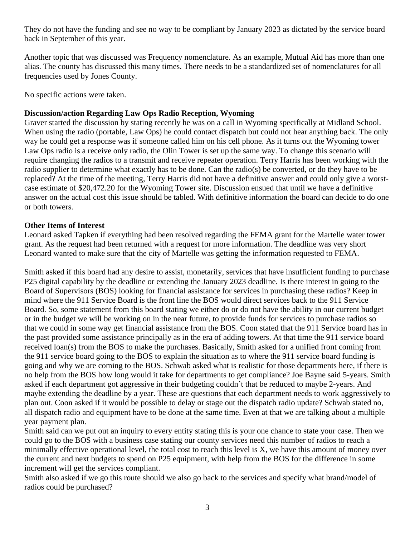They do not have the funding and see no way to be compliant by January 2023 as dictated by the service board back in September of this year.

Another topic that was discussed was Frequency nomenclature. As an example, Mutual Aid has more than one alias. The county has discussed this many times. There needs to be a standardized set of nomenclatures for all frequencies used by Jones County.

No specific actions were taken.

### **Discussion/action Regarding Law Ops Radio Reception, Wyoming**

Graver started the discussion by stating recently he was on a call in Wyoming specifically at Midland School. When using the radio (portable, Law Ops) he could contact dispatch but could not hear anything back. The only way he could get a response was if someone called him on his cell phone. As it turns out the Wyoming tower Law Ops radio is a receive only radio, the Olin Tower is set up the same way. To change this scenario will require changing the radios to a transmit and receive repeater operation. Terry Harris has been working with the radio supplier to determine what exactly has to be done. Can the radio(s) be converted, or do they have to be replaced? At the time of the meeting, Terry Harris did not have a definitive answer and could only give a worstcase estimate of \$20,472.20 for the Wyoming Tower site. Discussion ensued that until we have a definitive answer on the actual cost this issue should be tabled. With definitive information the board can decide to do one or both towers.

## **Other Items of Interest**

Leonard asked Tapken if everything had been resolved regarding the FEMA grant for the Martelle water tower grant. As the request had been returned with a request for more information. The deadline was very short Leonard wanted to make sure that the city of Martelle was getting the information requested to FEMA.

Smith asked if this board had any desire to assist, monetarily, services that have insufficient funding to purchase P25 digital capability by the deadline or extending the January 2023 deadline. Is there interest in going to the Board of Supervisors (BOS) looking for financial assistance for services in purchasing these radios? Keep in mind where the 911 Service Board is the front line the BOS would direct services back to the 911 Service Board. So, some statement from this board stating we either do or do not have the ability in our current budget or in the budget we will be working on in the near future, to provide funds for services to purchase radios so that we could in some way get financial assistance from the BOS. Coon stated that the 911 Service board has in the past provided some assistance principally as in the era of adding towers. At that time the 911 service board received loan(s) from the BOS to make the purchases. Basically, Smith asked for a unified front coming from the 911 service board going to the BOS to explain the situation as to where the 911 service board funding is going and why we are coming to the BOS. Schwab asked what is realistic for those departments here, if there is no help from the BOS how long would it take for departments to get compliance? Joe Bayne said 5-years. Smith asked if each department got aggressive in their budgeting couldn't that be reduced to maybe 2-years. And maybe extending the deadline by a year. These are questions that each department needs to work aggressively to plan out. Coon asked if it would be possible to delay or stage out the dispatch radio update? Schwab stated no, all dispatch radio and equipment have to be done at the same time. Even at that we are talking about a multiple year payment plan.

Smith said can we put out an inquiry to every entity stating this is your one chance to state your case. Then we could go to the BOS with a business case stating our county services need this number of radios to reach a minimally effective operational level, the total cost to reach this level is X, we have this amount of money over the current and next budgets to spend on P25 equipment, with help from the BOS for the difference in some increment will get the services compliant.

Smith also asked if we go this route should we also go back to the services and specify what brand/model of radios could be purchased?